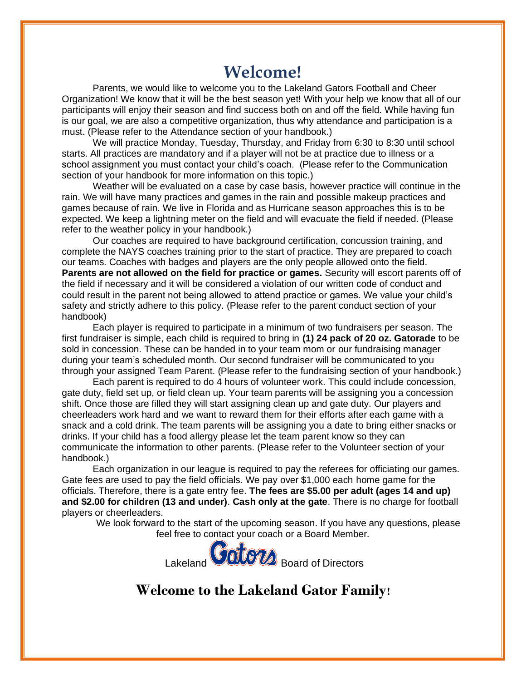# **Welcome!**

Parents, we would like to welcome you to the Lakeland Gators Football and Cheer Organization! We know that it will be the best season yet! With your help we know that all of our participants will enjoy their season and find success both on and off the field. While having fun is our goal, we are also a competitive organization, thus why attendance and participation is a must. (Please refer to the Attendance section of your handbook.)

We will practice Monday, Tuesday, Thursday, and Friday from 6:30 to 8:30 until school starts. All practices are mandatory and if a player will not be at practice due to illness or a school assignment you must contact your child's coach. (Please refer to the Communication section of your handbook for more information on this topic.)

Weather will be evaluated on a case by case basis, however practice will continue in the rain. We will have many practices and games in the rain and possible makeup practices and games because of rain. We live in Florida and as Hurricane season approaches this is to be expected. We keep a lightning meter on the field and will evacuate the field if needed. (Please refer to the weather policy in your handbook.)

Our coaches are required to have background certification, concussion training, and complete the NAYS coaches training prior to the start of practice. They are prepared to coach our teams. Coaches with badges and players are the only people allowed onto the field. **Parents are not allowed on the field for practice or games.** Security will escort parents off of the field if necessary and it will be considered a violation of our written code of conduct and could result in the parent not being allowed to attend practice or games. We value your child's safety and strictly adhere to this policy. (Please refer to the parent conduct section of your handbook)

Each player is required to participate in a minimum of two fundraisers per season. The first fundraiser is simple, each child is required to bring in **(1) 24 pack of 20 oz. Gatorade** to be sold in concession. These can be handed in to your team mom or our fundraising manager during your team's scheduled month. Our second fundraiser will be communicated to you through your assigned Team Parent. (Please refer to the fundraising section of your handbook.)

Each parent is required to do 4 hours of volunteer work. This could include concession, gate duty, field set up, or field clean up. Your team parents will be assigning you a concession shift. Once those are filled they will start assigning clean up and gate duty. Our players and cheerleaders work hard and we want to reward them for their efforts after each game with a snack and a cold drink. The team parents will be assigning you a date to bring either snacks or drinks. If your child has a food allergy please let the team parent know so they can communicate the information to other parents. (Please refer to the Volunteer section of your handbook.)

Each organization in our league is required to pay the referees for officiating our games. Gate fees are used to pay the field officials. We pay over \$1,000 each home game for the officials. Therefore, there is a gate entry fee. **The fees are \$5.00 per adult (ages 14 and up) and \$2.00 for children (13 and under)**. **Cash only at the gate**. There is no charge for football players or cheerleaders.

We look forward to the start of the upcoming season. If you have any questions, please feel free to contact your coach or a Board Member.



**Welcome to the Lakeland Gator Family!**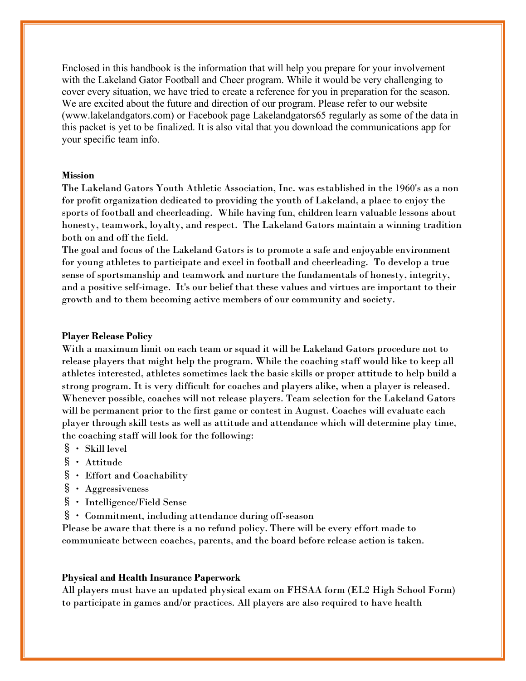Enclosed in this handbook is the information that will help you prepare for your involvement with the Lakeland Gator Football and Cheer program. While it would be very challenging to cover every situation, we have tried to create a reference for you in preparation for the season. We are excited about the future and direction of our program. Please refer to our website (www.lakelandgators.com) or Facebook page Lakelandgators65 regularly as some of the data in this packet is yet to be finalized. It is also vital that you download the communications app for your specific team info.

## **Mission**

The Lakeland Gators Youth Athletic Association, Inc. was established in the 1960's as a non for profit organization dedicated to providing the youth of Lakeland, a place to enjoy the sports of football and cheerleading. While having fun, children learn valuable lessons about honesty, teamwork, loyalty, and respect. The Lakeland Gators maintain a winning tradition both on and off the field.

The goal and focus of the Lakeland Gators is to promote a safe and enjoyable environment for young athletes to participate and excel in football and cheerleading. To develop a true sense of sportsmanship and teamwork and nurture the fundamentals of honesty, integrity, and a positive self-image. It's our belief that these values and virtues are important to their growth and to them becoming active members of our community and society.

#### **Player Release Policy**

With a maximum limit on each team or squad it will be Lakeland Gators procedure not to release players that might help the program. While the coaching staff would like to keep all athletes interested, athletes sometimes lack the basic skills or proper attitude to help build a strong program. It is very difficult for coaches and players alike, when a player is released. Whenever possible, coaches will not release players. Team selection for the Lakeland Gators will be permanent prior to the first game or contest in August. Coaches will evaluate each player through skill tests as well as attitude and attendance which will determine play time, the coaching staff will look for the following:

- $\S$  Skill level
- § Attitude
- § Effort and Coachability
- § Aggressiveness
- § Intelligence/Field Sense
- § Commitment, including attendance during off-season

Please be aware that there is a no refund policy. There will be every effort made to communicate between coaches, parents, and the board before release action is taken.

#### **Physical and Health Insurance Paperwork**

All players must have an updated physical exam on FHSAA form (EL2 High School Form) to participate in games and/or practices. All players are also required to have health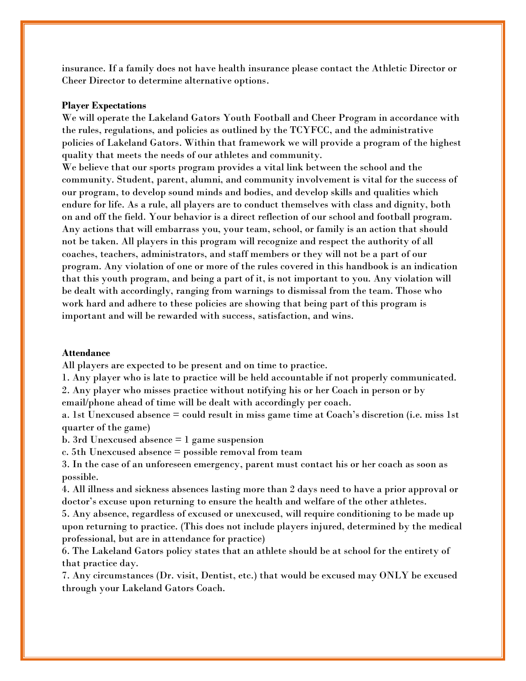insurance. If a family does not have health insurance please contact the Athletic Director or Cheer Director to determine alternative options.

#### **Player Expectations**

We will operate the Lakeland Gators Youth Football and Cheer Program in accordance with the rules, regulations, and policies as outlined by the TCYFCC, and the administrative policies of Lakeland Gators. Within that framework we will provide a program of the highest quality that meets the needs of our athletes and community.

We believe that our sports program provides a vital link between the school and the community. Student, parent, alumni, and community involvement is vital for the success of our program, to develop sound minds and bodies, and develop skills and qualities which endure for life. As a rule, all players are to conduct themselves with class and dignity, both on and off the field. Your behavior is a direct reflection of our school and football program. Any actions that will embarrass you, your team, school, or family is an action that should not be taken. All players in this program will recognize and respect the authority of all coaches, teachers, administrators, and staff members or they will not be a part of our program. Any violation of one or more of the rules covered in this handbook is an indication that this youth program, and being a part of it, is not important to you. Any violation will be dealt with accordingly, ranging from warnings to dismissal from the team. Those who work hard and adhere to these policies are showing that being part of this program is important and will be rewarded with success, satisfaction, and wins.

## **Attendance**

All players are expected to be present and on time to practice.

1. Any player who is late to practice will be held accountable if not properly communicated.

2. Any player who misses practice without notifying his or her Coach in person or by email/phone ahead of time will be dealt with accordingly per coach.

a. 1st Unexcused absence = could result in miss game time at Coach's discretion (i.e. miss 1st quarter of the game)

b. 3rd Unexcused absence = 1 game suspension

c. 5th Unexcused absence = possible removal from team

3. In the case of an unforeseen emergency, parent must contact his or her coach as soon as possible.

4. All illness and sickness absences lasting more than 2 days need to have a prior approval or doctor's excuse upon returning to ensure the health and welfare of the other athletes.

5. Any absence, regardless of excused or unexcused, will require conditioning to be made up upon returning to practice. (This does not include players injured, determined by the medical professional, but are in attendance for practice)

6. The Lakeland Gators policy states that an athlete should be at school for the entirety of that practice day.

7. Any circumstances (Dr. visit, Dentist, etc.) that would be excused may ONLY be excused through your Lakeland Gators Coach.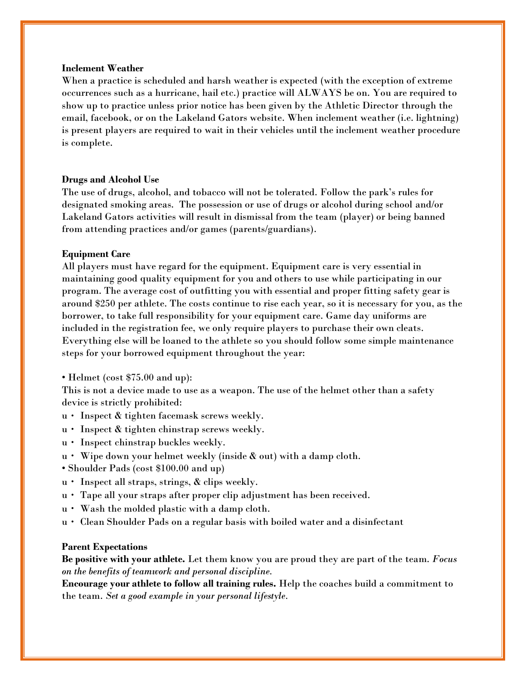#### **Inclement Weather**

When a practice is scheduled and harsh weather is expected (with the exception of extreme occurrences such as a hurricane, hail etc.) practice will ALWAYS be on. You are required to show up to practice unless prior notice has been given by the Athletic Director through the email, facebook, or on the Lakeland Gators website. When inclement weather (i.e. lightning) is present players are required to wait in their vehicles until the inclement weather procedure is complete.

#### **Drugs and Alcohol Use**

The use of drugs, alcohol, and tobacco will not be tolerated. Follow the park's rules for designated smoking areas. The possession or use of drugs or alcohol during school and/or Lakeland Gators activities will result in dismissal from the team (player) or being banned from attending practices and/or games (parents/guardians).

## **Equipment Care**

All players must have regard for the equipment. Equipment care is very essential in maintaining good quality equipment for you and others to use while participating in our program. The average cost of outfitting you with essential and proper fitting safety gear is around \$250 per athlete. The costs continue to rise each year, so it is necessary for you, as the borrower, to take full responsibility for your equipment care. Game day uniforms are included in the registration fee, we only require players to purchase their own cleats. Everything else will be loaned to the athlete so you should follow some simple maintenance steps for your borrowed equipment throughout the year:

• Helmet (cost \$75.00 and up):

This is not a device made to use as a weapon. The use of the helmet other than a safety device is strictly prohibited:

- u Inspect & tighten facemask screws weekly.
- $u \cdot$  Inspect & tighten chinstrap screws weekly.
- $u \cdot$  Inspect chinstrap buckles weekly.
- $u \cdot W$ ipe down your helmet weekly (inside & out) with a damp cloth.
- Shoulder Pads (cost \$100.00 and up)
- $u$  · Inspect all straps, strings,  $\&$  clips weekly.
- u Tape all your straps after proper clip adjustment has been received.
- $u \cdot W$ ash the molded plastic with a damp cloth.
- u Clean Shoulder Pads on a regular basis with boiled water and a disinfectant

#### **Parent Expectations**

**Be positive with your athlete.** Let them know you are proud they are part of the team. *Focus on the benefits of teamwork and personal discipline.*

**Encourage your athlete to follow all training rules.** Help the coaches build a commitment to the team. *Set a good example in your personal lifestyle.*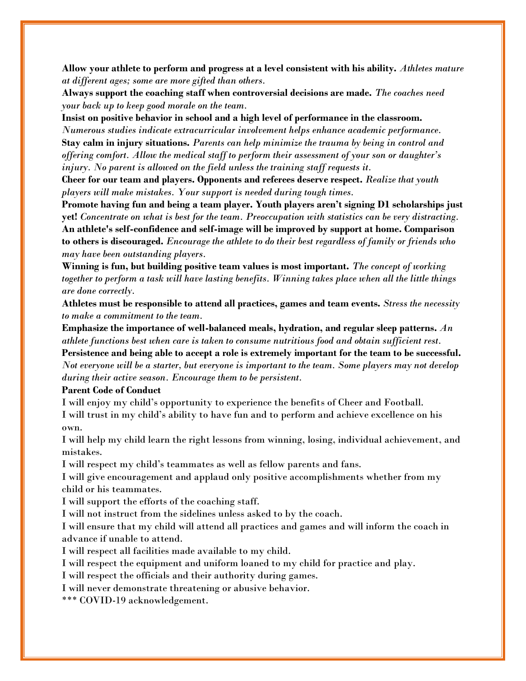**Allow your athlete to perform and progress at a level consistent with his ability.** *Athletes mature at different ages; some are more gifted than others.*

**Always support the coaching staff when controversial decisions are made.** *The coaches need your back up to keep good morale on the team.*

**Insist on positive behavior in school and a high level of performance in the classroom.** 

*Numerous studies indicate extracurricular involvement helps enhance academic performance.* **Stay calm in injury situations.** *Parents can help minimize the trauma by being in control and offering comfort. Allow the medical staff to perform their assessment of your son or daughter's injury. No parent is allowed on the field unless the training staff requests it.*

**Cheer for our team and players. Opponents and referees deserve respect.** *Realize that youth players will make mistakes. Your support is needed during tough times.*

**Promote having fun and being a team player. Youth players aren't signing D1 scholarships just yet!** *Concentrate on what is best for the team. Preoccupation with statistics can be very distracting.* **An athlete's self-confidence and self-image will be improved by support at home. Comparison to others is discouraged.** *Encourage the athlete to do their best regardless of family or friends who may have been outstanding players.*

**Winning is fun, but building positive team values is most important.** *The concept of working together to perform a task will have lasting benefits. Winning takes place when all the little things are done correctly.*

**Athletes must be responsible to attend all practices, games and team events.** *Stress the necessity to make a commitment to the team.*

**Emphasize the importance of well-balanced meals, hydration, and regular sleep patterns.** *An athlete functions best when care is taken to consume nutritious food and obtain sufficient rest.* **Persistence and being able to accept a role is extremely important for the team to be successful.**  *Not everyone will be a starter, but everyone is important to the team. Some players may not develop* 

*during their active season. Encourage them to be persistent.*

#### **Parent Code of Conduct**

I will enjoy my child's opportunity to experience the benefits of Cheer and Football. I will trust in my child's ability to have fun and to perform and achieve excellence on his own.

I will help my child learn the right lessons from winning, losing, individual achievement, and mistakes.

I will respect my child's teammates as well as fellow parents and fans.

I will give encouragement and applaud only positive accomplishments whether from my child or his teammates.

I will support the efforts of the coaching staff.

I will not instruct from the sidelines unless asked to by the coach.

I will ensure that my child will attend all practices and games and will inform the coach in advance if unable to attend.

I will respect all facilities made available to my child.

I will respect the equipment and uniform loaned to my child for practice and play.

I will respect the officials and their authority during games.

I will never demonstrate threatening or abusive behavior.

\*\*\* COVID-19 acknowledgement.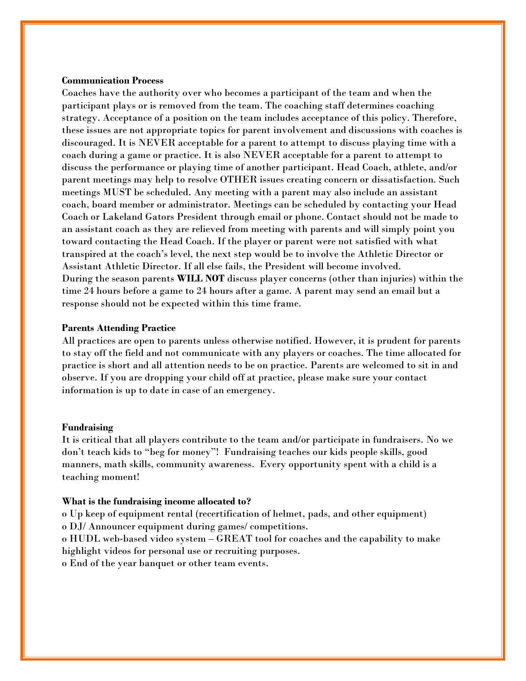## **Communication Process**

Coaches have the authority over who becomes a participant of the team and when the participant plays or is removed from the team. The coaching staff determines coaching strategy. Acceptance of a position on the team includes acceptance of this policy. Therefore, these issues are not appropriate topics for parent involvement and discussions with coaches is discouraged. It is NEVER acceptable for a parent to attempt to discuss playing time with a coach during a game or practice. It is also NEVER acceptable for a parent to attempt to discuss the performance or playing time of another participant. Head Coach, athlete, and/or parent meetings may help to resolve OTHER issues creating concern or dissatisfaction. Such meetings MUST be scheduled. Any meeting with a parent may also include an assistant coach, board member or administrator. Meetings can be scheduled by contacting your Head Coach or Lakeland Gators President through email or phone. Contact should not be made to an assistant coach as they are relieved from meeting with parents and will simply point you toward contacting the Head Coach. If the player or parent were not satisfied with what transpired at the coach's level, the next step would be to involve the Athletic Director or Assistant Athletic Director. If all else fails, the President will become involved. During the season parents **WILL NOT** discuss player concerns (other than injuries) within the time 24 hours before a game to 24 hours after a game. A parent may send an email but a response should not be expected within this time frame.

## **Parents Attending Practice**

All practices are open to parents unless otherwise notified. However, it is prudent for parents to stay off the field and not communicate with any players or coaches. The time allocated for practice is short and all attention needs to be on practice. Parents are welcomed to sit in and observe. If you are dropping your child off at practice, please make sure your contact information is up to date in case of an emergency.

#### **Fundraising**

It is critical that all players contribute to the team and/or participate in fundraisers. No we don't teach kids to "beg for money"! Fundraising teaches our kids people skills, good manners, math skills, community awareness. Every opportunity spent with a child is a teaching moment!

#### **What is the fundraising income allocated to?**

o Up keep of equipment rental (recertification of helmet, pads, and other equipment) o DJ/ Announcer equipment during games/ competitions.

o HUDL web-based video system – GREAT tool for coaches and the capability to make highlight videos for personal use or recruiting purposes.

o End of the year banquet or other team events.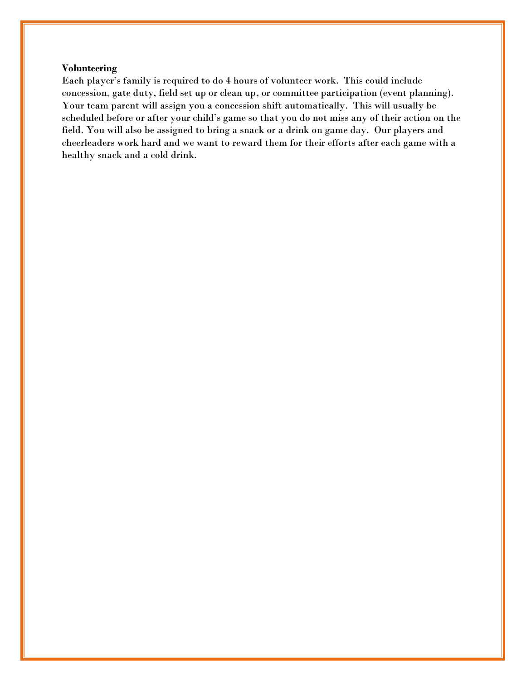## **Volunteering**

Each player's family is required to do 4 hours of volunteer work. This could include concession, gate duty, field set up or clean up, or committee participation (event planning). Your team parent will assign you a concession shift automatically. This will usually be scheduled before or after your child's game so that you do not miss any of their action on the field. You will also be assigned to bring a snack or a drink on game day.Our players and cheerleaders work hard and we want to reward them for their efforts after each game with a healthy snack and a cold drink.